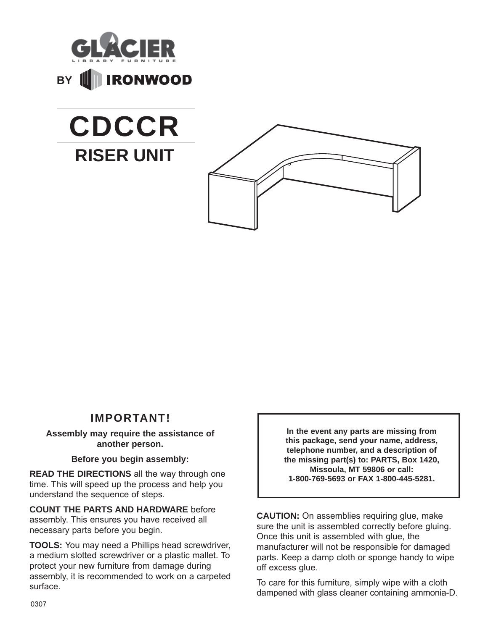







### **IMPORTANT!**

#### **Assembly may require the assistance of another person.**

#### **Before you begin assembly:**

**READ THE DIRECTIONS** all the way through one time. This will speed up the process and help you understand the sequence of steps.

**COUNT THE PARTS AND HARDWARE** before assembly. This ensures you have received all necessary parts before you begin.

**TOOLS:** You may need a Phillips head screwdriver, a medium slotted screwdriver or a plastic mallet. To protect your new furniture from damage during assembly, it is recommended to work on a carpeted surface.

**In the event any parts are missing from this package, send your name, address, telephone number, and a description of the missing part(s) to: PARTS, Box 1420, Missoula, MT 59806 or call: 1-800-769-5693 or FAX 1-800-445-5281.**

**CAUTION:** On assemblies requiring glue, make sure the unit is assembled correctly before gluing. Once this unit is assembled with glue, the manufacturer will not be responsible for damaged parts. Keep a damp cloth or sponge handy to wipe off excess glue.

To care for this furniture, simply wipe with a cloth dampened with glass cleaner containing ammonia-D.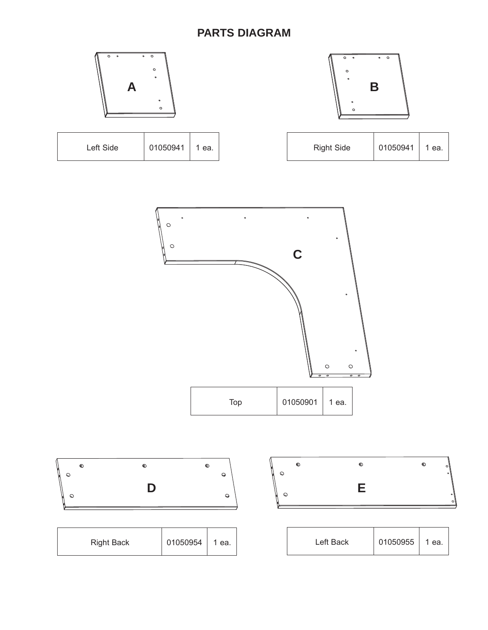# **PARTS DIAGRAM**





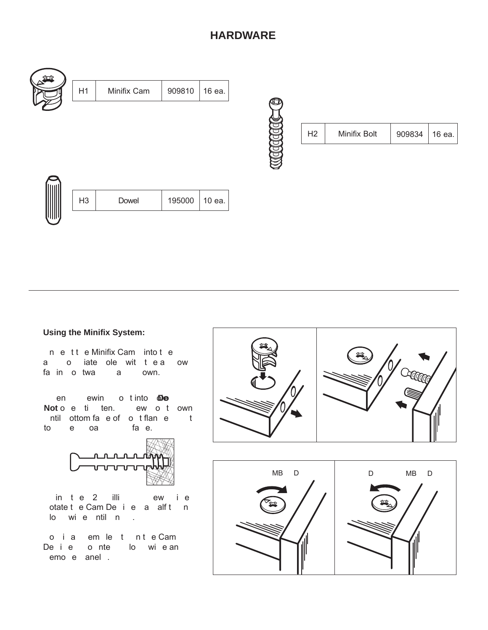# **HARDWARE**







### **Using the Minifix System:**

n e tt e Minifix Cam into t e a o iate ole wit tea ow fain otwa a own.

en ewin o tinto **De** Noto e ti ten. ew o t own ntil ottom fae of ot flane t toe oa fae.



in te 2 illi ewie otate t e Cam De i e a alft n lowie ntil n.

o ia em le tn te Cam De i e onte lo wie an emoe anel.



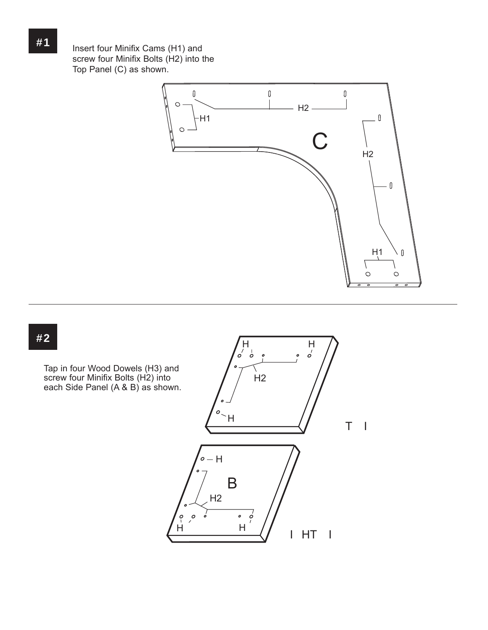Insert four Minifix Cams (H1) and screw four Minifix Bolts (H2) into the Top Panel (C) as shown.



### **#2**

Tap in four Wood Dowels (H3) and screw four Minifix Bolts (H2) into each Side Panel (A & B) as shown.

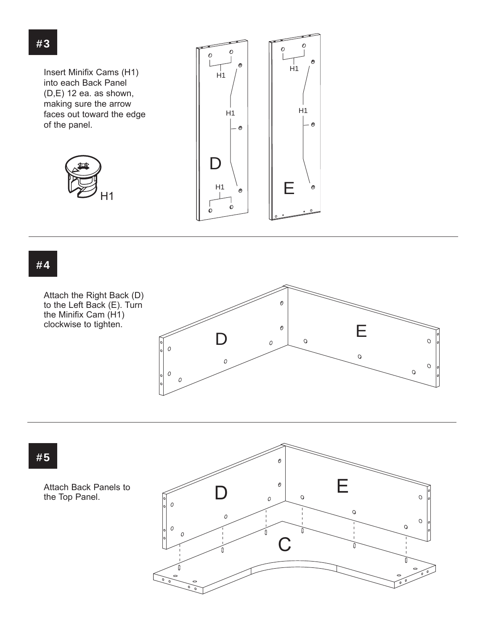

## **#4**

Attach the Right Back (D) to the Left Back (E). Turn the Minifix Cam (H1) clockwise to tighten.